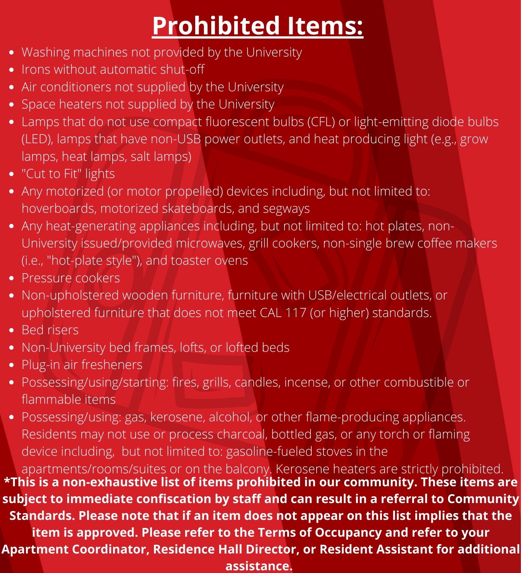## **Prohibited Items:**

- Washing machines not provided by the University
- Irons without automatic shut-off
- Air conditioners not supplied by the University
- Space heaters not supplied by the University
- Lamps that do not use compact fluorescent bulbs (CFL) or light-emitting diode bulbs (LED), lamps that have non-USB power outlets, and heat producing light (e.g., grow lamps, heat lamps, salt lamps)
- "Cut to Fit" lights
- Any motorized (or motor propelled) devices including, but not limited to: hoverboards, motorized skateboards, and segways
- Any heat-generating appliances including, but not limited to: hot plates, non-University issued/provided microwaves, grill cookers, non-single brew coffee makers (i.e., "hot-plate style"), and toaster ovens
- Pressure cookers
- Non-upholstered wooden furniture, furniture with USB/electrical outlets, or upholstered furniture that does not meet CAL 117 (or higher) standards.
- Bed risers
- Non-University bed frames, lofts, or lofted beds
- Plug-in air fresheners
- Possessing/using/starting: fires, grills, candles, incense, or other combustible or flammable items

Possessing/using: gas, kerosene, alcohol, or other flame-producing appliances. Residents may not use or process charcoal, bottled gas, or any torch or flaming device including, but not limited to: gasoline-fueled stoves in the

apartments/rooms/suites or on the balcony. Kerosene heaters are strictly prohibited. **\*This is a non-exhaustive list of items prohibited in our community. These items are subject to immediate confiscation by staff and can result in a referral to Community Standards. Please note that if an item does not appear on this list implies that the item is approved. Please refer to the Terms of Occupancy and refer to your Apartment Coordinator, Residence Hall Director, or Resident Assistant for additional assistance.**